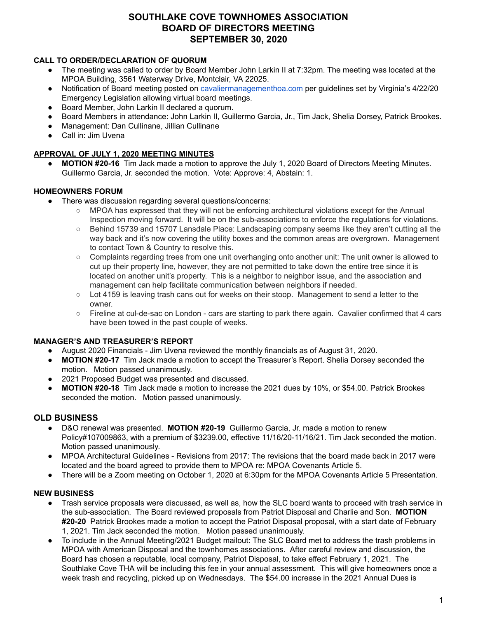# **SOUTHLAKE COVE TOWNHOMES ASSOCIATION BOARD OF DIRECTORS MEETING SEPTEMBER 30, 2020**

### **CALL TO ORDER/DECLARATION OF QUORUM**

- The meeting was called to order by Board Member John Larkin II at 7:32pm. The meeting was located at the MPOA Building, 3561 Waterway Drive, Montclair, VA 22025.
- Notification of Board meeting posted o[n](http://cavaliermanagementhoa.com/) [cavaliermanagementhoa.com](http://cavaliermanagementhoa.com/) per guidelines set by Virginia's 4/22/20 Emergency Legislation allowing virtual board meetings.
- Board Member, John Larkin II declared a quorum.
- Board Members in attendance: John Larkin II, Guillermo Garcia, Jr., Tim Jack, Shelia Dorsey, Patrick Brookes.
- Management: Dan Cullinane, Jillian Cullinane
- Call in: Jim Uvena

### **APPROVAL OF JULY 1, 2020 MEETING MINUTES**

**● MOTION #20-16** Tim Jack made a motion to approve the July 1, 2020 Board of Directors Meeting Minutes. Guillermo Garcia, Jr. seconded the motion. Vote: Approve: 4, Abstain: 1.

### **HOMEOWNERS FORUM**

- There was discussion regarding several questions/concerns:
	- MPOA has expressed that they will not be enforcing architectural violations except for the Annual Inspection moving forward. It will be on the sub-associations to enforce the regulations for violations.
	- Behind 15739 and 15707 Lansdale Place: Landscaping company seems like they aren't cutting all the way back and it's now covering the utility boxes and the common areas are overgrown. Management to contact Town & Country to resolve this.
	- Complaints regarding trees from one unit overhanging onto another unit: The unit owner is allowed to cut up their property line, however, they are not permitted to take down the entire tree since it is located on another unit's property. This is a neighbor to neighbor issue, and the association and management can help facilitate communication between neighbors if needed.
	- Lot 4159 is leaving trash cans out for weeks on their stoop. Management to send a letter to the owner.
	- Fireline at cul-de-sac on London cars are starting to park there again. Cavalier confirmed that 4 cars have been towed in the past couple of weeks.

#### **MANAGER'S AND TREASURER'S REPORT**

- August 2020 Financials Jim Uvena reviewed the monthly financials as of August 31, 2020.
- **MOTION #20-17** Tim Jack made a motion to accept the Treasurer's Report. Shelia Dorsey seconded the motion. Motion passed unanimously.
- 2021 Proposed Budget was presented and discussed.
- **MOTION #20-18** Tim Jack made a motion to increase the 2021 dues by 10%, or \$54.00. Patrick Brookes seconded the motion. Motion passed unanimously.

### **OLD BUSINESS**

- D&O renewal was presented. **MOTION #20-19** Guillermo Garcia, Jr. made a motion to renew Policy#107009863, with a premium of \$3239.00, effective 11/16/20-11/16/21. Tim Jack seconded the motion. Motion passed unanimously.
- MPOA Architectural Guidelines Revisions from 2017: The revisions that the board made back in 2017 were located and the board agreed to provide them to MPOA re: MPOA Covenants Article 5.
- There will be a Zoom meeting on October 1, 2020 at 6:30pm for the MPOA Covenants Article 5 Presentation.

#### **NEW BUSINESS**

- Trash service proposals were discussed, as well as, how the SLC board wants to proceed with trash service in the sub-association. The Board reviewed proposals from Patriot Disposal and Charlie and Son. **MOTION #20-20** Patrick Brookes made a motion to accept the Patriot Disposal proposal, with a start date of February 1, 2021. Tim Jack seconded the motion. Motion passed unanimously.
- To include in the Annual Meeting/2021 Budget mailout: The SLC Board met to address the trash problems in MPOA with American Disposal and the townhomes associations. After careful review and discussion, the Board has chosen a reputable, local company, Patriot Disposal, to take effect February 1, 2021. The Southlake Cove THA will be including this fee in your annual assessment. This will give homeowners once a week trash and recycling, picked up on Wednesdays. The \$54.00 increase in the 2021 Annual Dues is